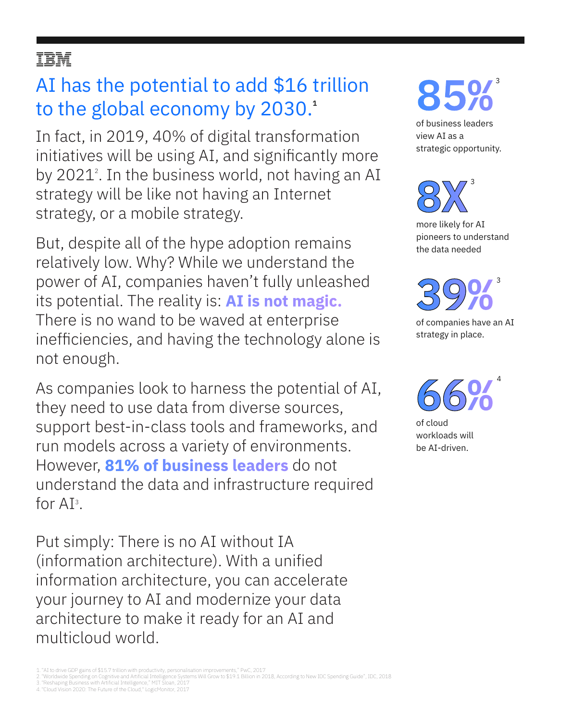# ĪĒM

# AI has the potential to add \$16 trillion to the global economy by 2030.**<sup>1</sup>**

In fact, in 2019, 40% of digital transformation initiatives will be using AI, and significantly more by 2021<sup>2</sup>. In the business world, not having an AI strategy will be like not having an Internet strategy, or a mobile strategy.

But, despite all of the hype adoption remains relatively low. Why? While we understand the power of AI, companies haven't fully unleashed its potential. The reality is: **AI is not magic.**  There is no wand to be waved at enterprise inefficiencies, and having the technology alone is not enough.

As companies look to harness the potential of AI, they need to use data from diverse sources, support best-in-class tools and frameworks, and run models across a variety of environments. However, **81% of business leaders** do not understand the data and infrastructure required for  $AI^3$ .

Put simply: There is no AI without IA (information architecture). With a unified information architecture, you can accelerate your journey to AI and modernize your data architecture to make it ready for an AI and multicloud world.

**85%**<sup>3</sup>

of business leaders view AI as a strategic opportunity.

**8X** more likely for AI pioneers to understand the data needed 3

**39%** of companies have an AI strategy in place. 3

**66%** 4

of cloud workloads will be AI-driven.

- 2. "Worldwide Spending on Cognitive and Artificial Intelligence Systems Will Grow to \$19.1 Billion in 2018, According to New IDC Spending Guide", IDC, 2018<br>3. "Reshaping Business with Artificial Intelligence," MIT Sloan, 2
- 4."Cloud Vision 2020: The Future of the Cloud," LogicMonitor, 2017

<sup>1.</sup> "AI to drive GDP gains of \$15.7 trillion with productivity, personalisation improvements," PwC, 2017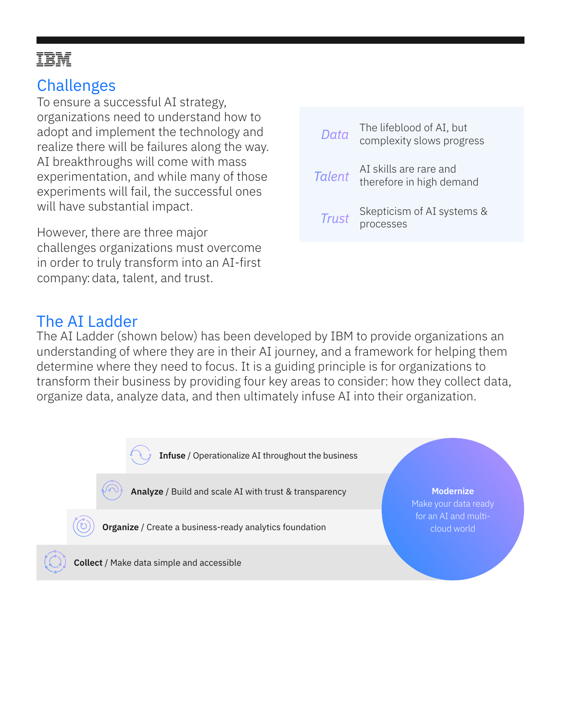# IBM

# **Challenges**

To ensure a successful AI strategy, organizations need to understand how to adopt and implement the technology and realize there will be failures along the way. AI breakthroughs will come with mass experimentation, and while many of those experiments will fail, the successful ones will have substantial impact.

However, there are three major challenges organizations must overcome in order to truly transform into an AI-first company:data, talent, and trust.

| Data          | The lifeblood of AI, but<br>complexity slows progress |
|---------------|-------------------------------------------------------|
| <b>Talent</b> | AI skills are rare and<br>therefore in high demand    |
| Trust         | Skepticism of AI systems &<br>processes               |

# The AI Ladder

The AI Ladder (shown below) has been developed by IBM to provide organizations an understanding of where they are in their AI journey, and a framework for helping them determine where they need to focus. It is a guiding principle is for organizations to transform their business by providing four key areas to consider: how they collect data, organize data, analyze data, and then ultimately infuse AI into their organization.

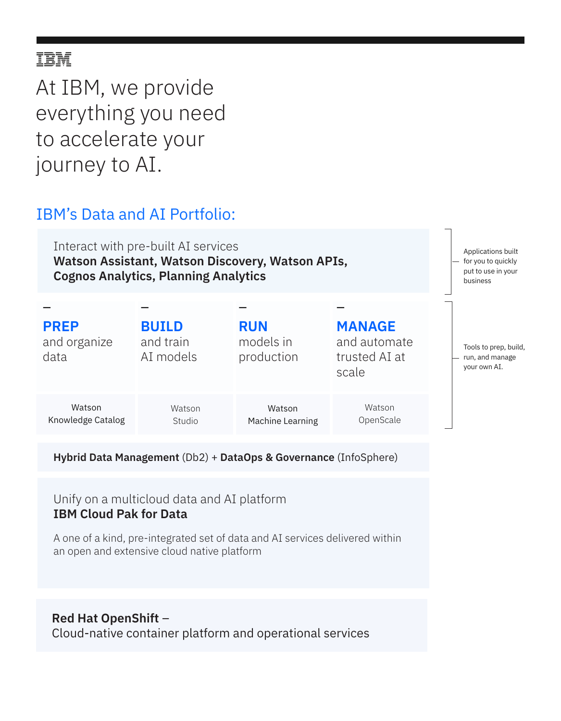# IBM

At IBM, we provide everything you need to accelerate your journey to AI.

### IBM's Data and AI Portfolio:

Interact with pre-built AI services **Watson Assistant, Watson Discovery, Watson APIs, Cognos Analytics, Planning Analytics**

| <b>PREP</b><br>and organize<br>data | <b>BUILD</b><br>and train<br>AI models | <b>RUN</b><br>models in<br>production | <b>MANAGE</b><br>and automate<br>trusted AI at<br>scale |
|-------------------------------------|----------------------------------------|---------------------------------------|---------------------------------------------------------|
| Watson<br>Knowledge Catalog         | Watson<br>Studio                       | Watson<br>Machine Learning            | Watson<br>OpenScale                                     |

**Hybrid Data Management** (Db2) + **DataOps & Governance** (InfoSphere)

Unify on a multicloud data and AI platform **IBM Cloud Pak for Data**

A one of a kind, pre-integrated set of data and AI services delivered within an open and extensive cloud native platform

#### **Red Hat OpenShift** –

Cloud-native container platform and operational services

Applications built for you to quickly put to use in your business

Tools to prep, build, run, and manage your own AI.